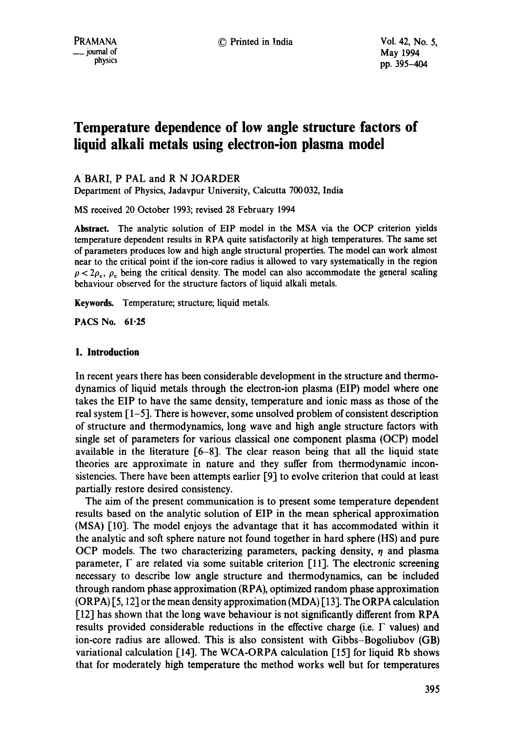# **Temperature dependence of low angle structure factors of liquid alkali metals using electron-ion plasma model**

ABARI, P PAL and R N JOARDER

Department of Physics, Jadavpur University, Calcutta 700032, India

MS received 20 October 1993; revised 28 February 1994

**Abstract.** The analytic solution of EIP model in the MSA via the OCP criterion yields temperature dependent results in RPA quite satisfactorily at high temperatures. The same set of parameters produces low and high angle structural properties. The model can work almost near to the critical point if the ion-core radius is allowed to vary systematically in the region  $\rho < 2\rho_c$ ,  $\rho_c$  being the critical density. The model can also accommodate the general scaling behaviour observed for the structure factors of liquid alkali metals.

**Keywords.** Temperature; structure; liquid metals.

*PACS* No. 61.25

# **1. Introduction**

In recent years there has been considerable development in the structure and thermodynamics of liquid metals through the electron-ion plasma (EIP) model where one takes the EIP to have the same density, temperature and ionic mass as those of the real system  $\lceil 1-5 \rceil$ . There is however, some unsolved problem of consistent description of structure and thermodynamics, long wave and high angle structure factors with single set of parameters for various classical one component plasma (OCP) model available in the literature [6-8]. The clear reason being that all the liquid state theories are approximate in nature and they suffer from thermodynamic inconsistencies. There have been attempts earlier [9] to evolve criterion that could at least partially restore desired consistency.

The aim of the present communication is to present some temperature dependent results based on the analytic solution of EIP in the mean spherical approximation (MSA) [10]. The model enjoys the advantage that it has accommodated within it the analytic and soft sphere nature not found together in hard sphere (HS) and pure OCP models. The two characterizing parameters, packing density,  $\eta$  and plasma parameter,  $\Gamma$  are related via some suitable criterion [11]. The electronic screening necessary to describe low angle structure and thermodynamics, can be included through random phase approximation (RPA), optimized random phase approximation  $(ORPA)$  [5, 12] or the mean density approximation  $(MDA)$  [13]. The ORPA calculation [12] has shown that the long wave behaviour is not significantly different from RPA results provided considerable reductions in the effective charge (i.e.  $\Gamma$  values) and ion-core radius are allowed. This is also consistent with Gibbs-Bogoliubov (GB) variational calculation [14]. The WCA-ORPA calculation [15] for liquid Rb shows that for moderately high temperature the method works well but for temperatures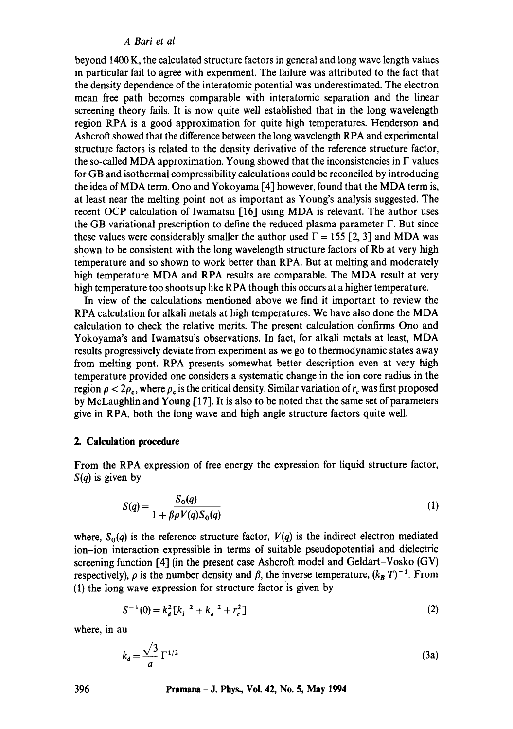## *A Bari et al*

beyond 1400 K, the calculated structure factors in general and long wave length values in particular fail to agree with experiment. The failure was attributed to the fact that the density dependence of the interatomic potential was underestimated. The electron mean free path becomes comparable with interatomic separation and the linear screening theory fails. It is now quite well established that in the long wavelength region RPA is a good approximation for quite high temperatures. Henderson and Ashcroft showed that the difference between the long wavelength RPA and experimental structure factors is related to the density derivative of the reference structure factor, the so-called MDA approximation. Young showed that the inconsistencies in  $\Gamma$  values for GB and isothermal compressibility calculations could be reconciled by introducing the idea of MDA term. Ono and Yokoyama [4] however, found that the MDA term is, at least near the melting point not as important as Young's analysis suggested. The recent OCP calculation of Iwamatsu [16] using MDA is relevant. The author uses the GB variational prescription to define the reduced plasma parameter  $\Gamma$ . But since these values were considerably smaller the author used  $\Gamma = 155$  [2, 3] and MDA was shown to be consistent with the long wavelength structure factors of Rb at very high temperature and so shown to work better than RPA. But at melting and moderately high temperature MDA and RPA results are comparable. The MDA result at very high temperature too shoots up like RPA though this occurs at a higher temperature.

In view of the calculations mentioned above we find it important to review the RPA calculation for alkali metals at high temperatures. We have also done the MDA calculation to check the relative merits. The present calculation confirms Ono and Yokoyama's and Iwamatsu's observations. In fact, for alkali metals at least, MDA results progressively deviate from experiment as we go to thermodynamic states away from melting pont. RPA presents somewhat better description even at very high temperature provided one considers a systematic change in the ion core radius in the region  $\rho < 2\rho_c$ , where  $\rho_c$  is the critical density. Similar variation of  $r_c$  was first proposed by McLaughlin and Young [17]. It is also to be noted that the same set of parameters give in RPA, both the long wave and high angle structure factors quite well.

# **2. Calculation procedure**

From the RPA expression of free energy the expression for liquid structure factor, *S(q)* is given by

$$
S(q) = \frac{S_o(q)}{1 + \beta \rho V(q) S_o(q)}\tag{1}
$$

where,  $S_0(q)$  is the reference structure factor,  $V(q)$  is the indirect electron mediated ion-ion interaction expressible in terms of suitable pseudopotential and dielectric screening function [4] (in the present case Ashcroft model and Geldart-Vosko (GV) respectively),  $\rho$  is the number density and  $\beta$ , the inverse temperature,  $(k_B T)^{-1}$ . From (1) the long wave expression for structure factor is given by

$$
S^{-1}(0) = k_d^2 \left[ k_i^{-2} + k_e^{-2} + r_c^2 \right]
$$
 (2)

where, in **au** 

$$
k_d = \frac{\sqrt{3}}{a} \Gamma^{1/2} \tag{3a}
$$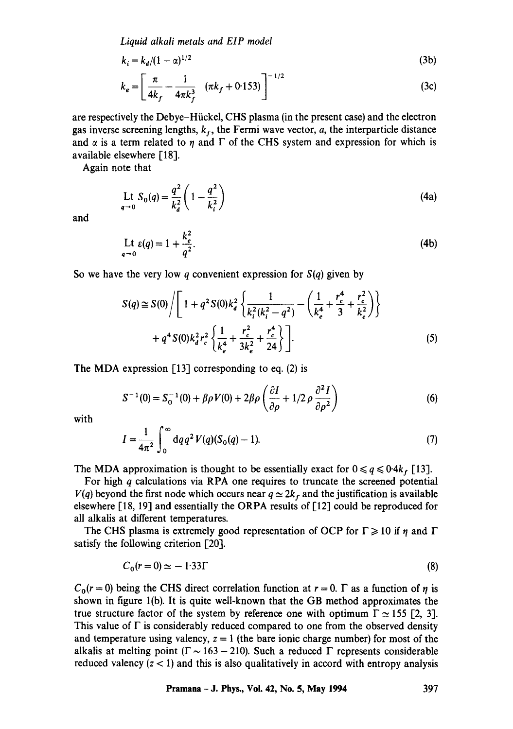*Liquid alkali metals and EIP model* 

$$
k_i = k_d/(1 - \alpha)^{1/2}
$$
 (3b)

$$
k_e = \left[\frac{\pi}{4k_f} - \frac{1}{4\pi k_f^3} \quad (\pi k_f + 0.153)\right]^{-1/2} \tag{3c}
$$

are respectively the Debye-Hiickel, CHS plasma (in the present case) and the electron gas inverse screening lengths,  $k_f$ , the Fermi wave vector, *a*, the interparticle distance and  $\alpha$  is a term related to  $\eta$  and  $\Gamma$  of the CHS system and expression for which is available elsewhere [18].

Again note that

$$
\text{Lt } S_0(q) = \frac{q^2}{k_d^2} \left( 1 - \frac{q^2}{k_i^2} \right) \tag{4a}
$$

and

$$
\text{Lt } \varepsilon(q) = 1 + \frac{k_e^2}{q^2}.
$$
\n(4b)

So we have the very low q convenient expression for *S(q)* given by

$$
S(q) \cong S(0) / \left[ 1 + q^2 S(0) k_d^2 \left\{ \frac{1}{k_i^2 (k_i^2 - q^2)} - \left( \frac{1}{k_e^4} + \frac{r_c^4}{3} + \frac{r_c^2}{k_e^2} \right) \right\} + q^4 S(0) k_d^2 r_c^2 \left\{ \frac{1}{k_e^4} + \frac{r_c^2}{3k_e^2} + \frac{r_c^4}{24} \right\} \right].
$$
 (5)

The MDA expression [13] corresponding to eq. (2) is

$$
S^{-1}(0) = S_0^{-1}(0) + \beta \rho V(0) + 2\beta \rho \left(\frac{\partial I}{\partial \rho} + 1/2 \rho \frac{\partial^2 I}{\partial \rho^2}\right)
$$
(6)

with

$$
I = \frac{1}{4\pi^2} \int_0^\infty dq q^2 V(q) (S_0(q) - 1).
$$
 (7)

The MDA approximation is thought to be essentially exact for  $0 \le q \le 0.4k_f$  [13].

For high  $q$  calculations via RPA one requires to truncate the screened potential  $V(q)$  beyond the first node which occurs near  $q \approx 2k_f$  and the justification is available elsewhere [18, 19] and essentially the ORPA results of [12] could be reproduced for all alkalis at different temperatures.

The CHS plasma is extremely good representation of OCP for  $\Gamma \ge 10$  if  $\eta$  and  $\Gamma$ satisfy the following criterion [20].

$$
C_0(r=0) \simeq -1.33\Gamma \tag{8}
$$

 $C_0(r=0)$  being the CHS direct correlation function at  $r=0$ .  $\Gamma$  as a function of  $\eta$  is shown in figure l(b). It is quite well-known that the GB method approximates the true structure factor of the system by reference one with optimum  $\Gamma \approx 155$  [2, 3]. This value of  $\Gamma$  is considerably reduced compared to one from the observed density and temperature using valency,  $z = 1$  (the bare ionic charge number) for most of the alkalis at melting point ( $\Gamma \sim 163 - 210$ ). Such a reduced  $\Gamma$  represents considerable reduced valency  $(z < 1)$  and this is also qualitatively in accord with entropy analysis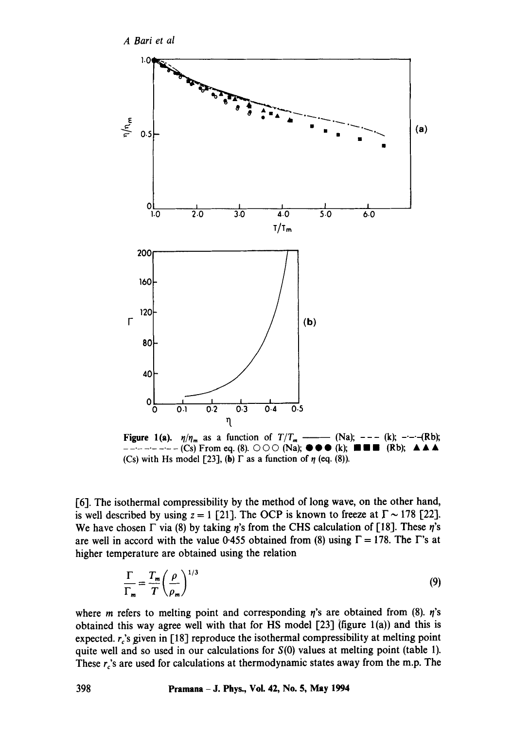



Figure 1(a).  $\eta/\eta_m$  as a function of  $T/T_m$  --- (Na); --- (k); --- (Rb); ........... (Cs) From eq. (8). © © C3 (Na); • • • (k); • • • (Rb); • • • (Cs) with Hs model [23], (b)  $\Gamma$  as a function of  $\eta$  (eq. (8)).

[6]. The isothermal compressibility by the method of long wave, on the other hand, is well described by using  $z = 1$  [21]. The OCP is known to freeze at  $\Gamma \sim 178$  [22]. We have chosen  $\Gamma$  via (8) by taking  $\eta$ 's from the CHS calculation of [18]. These  $\eta$ 's are well in accord with the value 0.455 obtained from (8) using  $\Gamma = 178$ . The  $\Gamma$ 's at higher temperature are obtained using the relation

$$
\frac{\Gamma}{\Gamma_m} = \frac{T_m}{T} \left(\frac{\rho}{\rho_m}\right)^{1/3} \tag{9}
$$

where *m* refers to melting point and corresponding  $\eta$ 's are obtained from (8).  $\eta$ 's obtained this way agree well with that for HS model  $[23]$  (figure 1(a)) and this is expected,  $r_c$ 's given in [18] reproduce the isothermal compressibility at melting point quite well and so used in our calculations for  $S(0)$  values at melting point (table 1). These  $r_c$ 's are used for calculations at thermodynamic states away from the m.p. The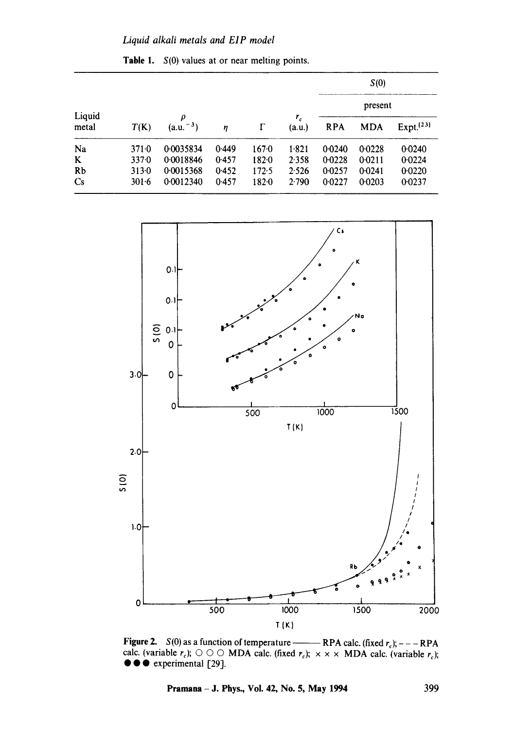| Liquid<br>metal        |           | ρ<br>$(a.u.^{-3})$ | $\eta$ |       | $r_{c}$<br>(a.u.) | S(0)<br>present |            |                       |
|------------------------|-----------|--------------------|--------|-------|-------------------|-----------------|------------|-----------------------|
|                        |           |                    |        |       |                   |                 |            |                       |
|                        | T(K)      |                    |        |       |                   | <b>RPA</b>      | <b>MDA</b> | Expt. <sup>[23]</sup> |
| Na                     | 3710      | 0.0035834          | 0.449  | 1670  | 1.821             | 0.0240          | 0.0228     | 0.0240                |
| K                      | 3370      | 0.0018846          | 0.457  | 182.0 | 2.358             | 0.0228          | 0.0211     | 0.0224                |
| Rb                     | 313.0     | 0.0015368          | 0.452  | 172.5 | 2.526             | 0.0257          | 0.0241     | 0.0220                |
| $\mathbf{C}\mathbf{s}$ | $301 - 6$ | 0.0012340          | 0.457  | 1820  | 2.790             | 0.0227          | 0.0203     | 0.0237                |

Table 1.  $S(0)$  values at or near melting points.



Figure 2.  $S(0)$  as a function of temperature ———— RPA calc. (fixed  $r_c$ ); - - - RPA calc. (variable *rc); © © ©* MDA calc. (fixed re); x x x MDA calc. (variable re);  $\bullet \bullet \bullet$  experimental [29].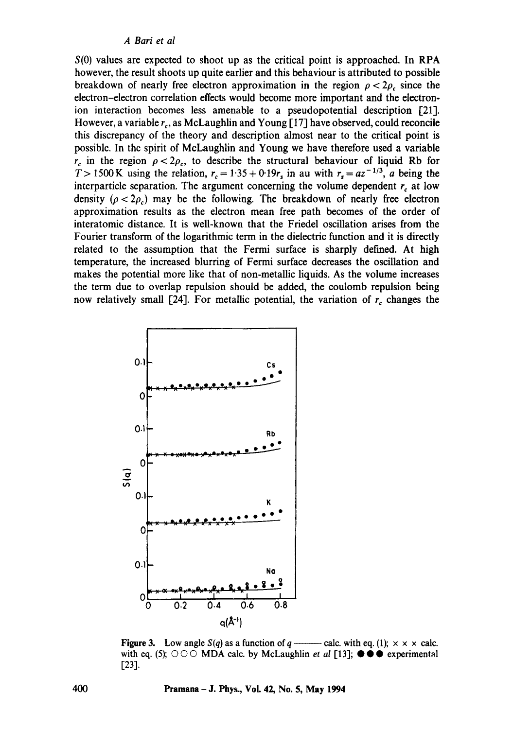$S(0)$  values are expected to shoot up as the critical point is approached. In RPA however, the result shoots up quite earlier and this behaviour is attributed to possible breakdown of nearly free electron approximation in the region  $\rho < 2\rho_c$  since the electron-electron correlation effects would become more important and the electronion interaction becomes less amenable to a pseudopotential description [21]. However, a variable  $r_c$ , as McLaughlin and Young [17] have observed, could reconcile this discrepancy of the theory and description almost near to the critical point is possible. In the spirit of McLaughlin and Young we have therefore used a variable  $r_c$  in the region  $\rho < 2\rho_c$ , to describe the structural behaviour of liquid Rb for T > 1500 K using the relation,  $r_c = 1.35 + 0.19r_s$  in au with  $r_s = az^{-1/3}$ , *a* being the interparticle separation. The argument concerning the volume dependent  $r<sub>c</sub>$  at low density ( $\rho < 2\rho_c$ ) may be the following. The breakdown of nearly free electron approximation results as the electron mean free path becomes of the order of interatomic distance. It is well-known that the Friedel oscillation arises from the Fourier transform of the logarithmic term in the dielectric function and it is directly related to the assumption that the Fermi surface is sharply defined. At high temperature, the increased blurring of Fermi surface decreases the oscillation and makes the potential more like that of non-metallic liquids. As the volume increases the term due to overlap repulsion should be added, the coulomb repulsion being now relatively small [24]. For metallic potential, the variation of  $r_c$  changes the



**Figure 3.** Low angle  $S(q)$  as a function of  $q \rightarrow \text{calc.}$  with eq. (1);  $\times \times \times$  calc. with eq. (5); © © C MDA calc. by McLaughlin *et al* ['13-1; • • • experimental [23].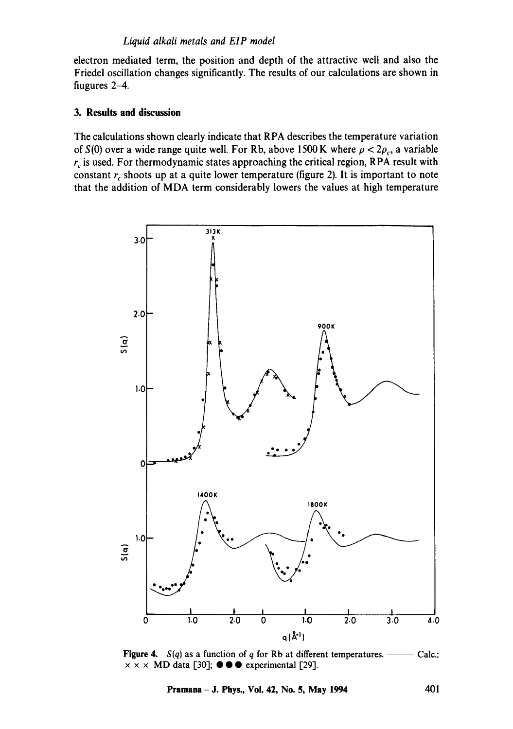electron mediated term, the position and depth of the attractive well and also the Friedel oscillation changes significantly. The results of our calculations are shown in fiugures 2-4.

## **3. Results and discussion**

The calculations shown clearly indicate that RPA describes the temperature variation of  $S(0)$  over a wide range quite well. For Rb, above 1500 K where  $\rho < 2\rho_c$ , a variable  $r_c$  is used. For thermodynamic states approaching the critical region, RPA result with constant  $r_c$  shoots up at a quite lower temperature (figure 2). It is important to note that the addition of MDA term considerably lowers the values at high temperature



**Figure 4.** *S(q)* as a function of q for Rb at different temperatures.  $x \times x$  MD data [30];  $\bullet \bullet \bullet$  experimental [29]. Calc.:

**Pramana - J. Phys., Vol. 42, No. 5, May 1994 401**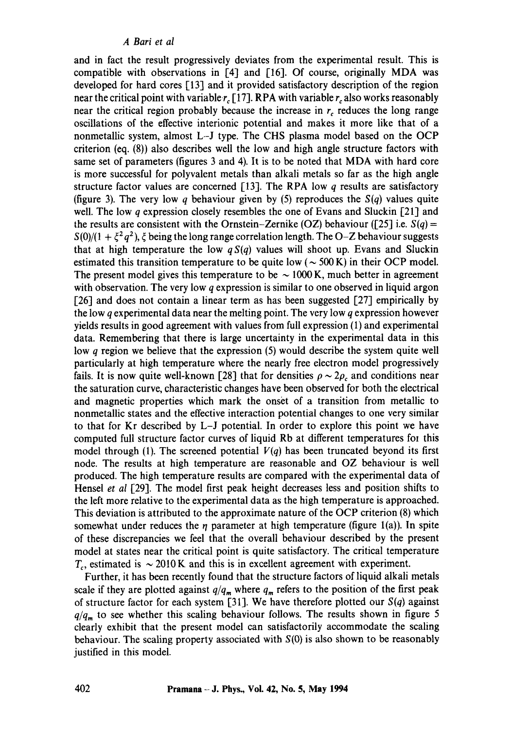#### *A Bari et al*

and in fact the result progressively deviates from the experimental result. This is compatible with observations in  $[4]$  and  $[16]$ . Of course, originally MDA was developed for hard cores [13] and it provided satisfactory description of the region near the critical point with variable  $r_c$  [17]. RPA with variable  $r_c$  also works reasonably near the critical region probably because the increase in  $r_c$  reduces the long range oscillations of the effective interionic potential and makes it more like that of a nonmetallic system, almost L-J type. The CHS plasma model based on the OCP criterion (eq. (8)) also describes well the low and high angle structure factors with same set of parameters (figures 3 and 4). It is to be noted that MDA with hard core is more successful for polyvalent metals than alkali metals so far as the high angle structure factor values are concerned [13]. The RPA low  $q$  results are satisfactory (figure 3). The very low q behaviour given by (5) reproduces the *S(q)* values quite well. The low *a* expression closely resembles the one of Evans and Sluckin [21] and the results are consistent with the Ornstein-Zernike (OZ) behaviour ( $[25]$  i.e.  $S(q)$  =  $S(0)/(1 + \xi^2 q^2)$ ,  $\xi$  being the long range correlation length. The O-Z behaviour suggests that at high temperature the low  $qS(q)$  values will shoot up. Evans and Sluckin estimated this transition temperature to be quite low ( $\sim$  500 K) in their OCP model. The present model gives this temperature to be  $\sim 1000$  K, much better in agreement with observation. The very low q expression is similar to one observed in liquid argon  $[26]$  and does not contain a linear term as has been suggested  $[27]$  empirically by the low  $q$  experimental data near the melting point. The very low  $q$  expression however yields results in good agreement with values from full expression (1) and experimental data. Remembering that there is large uncertainty in the experimental data in this low q region we believe that the expression (5) would describe the system quite well particularly at high temperature where the nearly free electron model progressively fails. It is now quite well-known [28] that for densities  $\rho \sim 2\rho_c$  and conditions near the saturation curve, characteristic changes have been observed for both the electrical and magnetic properties which mark the onset of a transition from metallic to nonmetallic states and the effective interaction potential changes to one very similar to that for Kr described by L-J potential. In order to explore this point we have computed full structure factor curves of liquid Rb at different temperatures foi this model through (1). The screened potential  $V(q)$  has been truncated beyond its first node. The results at high temperature are reasonable and OZ behaviour is well produced. The high temperature results are compared with the experimental data of Hensel *et al* [29]. The model first peak height decreases less and position shifts to the left more relative to the experimental data as the high temperature is approached. This deviation is attributed to the approximate nature of the OCP criterion (8) which somewhat under reduces the  $\eta$  parameter at high temperature (figure 1(a)). In spite of these discrepancies we feel that the overall behaviour described by the present model at states near the critical point is quite satisfactory. The critical temperature  $T_c$ , estimated is  $\sim 2010 \text{ K}$  and this is in excellent agreement with experiment.

Further, it has been recently found that the structure factors of liquid alkali metals scale if they are plotted against  $q/q_m$  where  $q_m$  refers to the position of the first peak of structure factor for each system [31]. We have therefore plotted our  $S(q)$  against  $q/q_m$  to see whether this scaling behaviour follows. The results shown in figure 5 clearly exhibit that the present model can satisfactorily accommodate the scaling behaviour. The scaling property associated with  $S(0)$  is also shown to be reasonably justified in this model.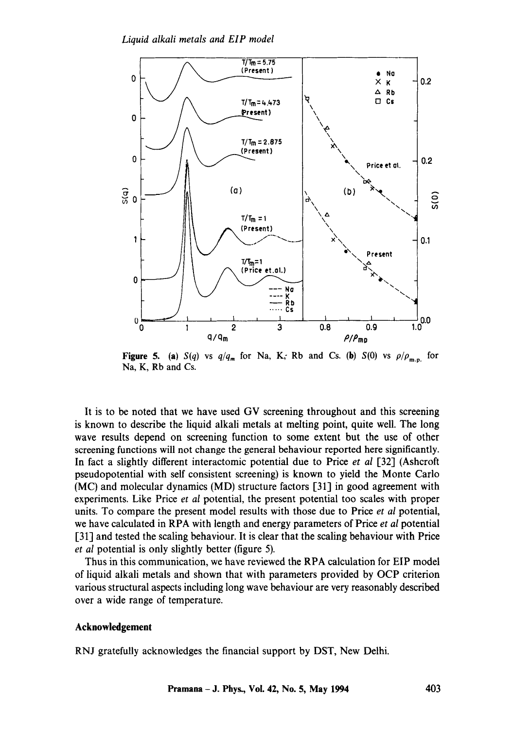

**Figure 5.** (a)  $S(q)$  vs  $q/q_m$  for Na, K; Rb and Cs. (b)  $S(0)$  vs  $\rho/\rho_{m,n}$  for Na, K, Rb and Cs.

It is to be noted that we have used GV screening throughout and this screening is known to describe the liquid alkali metals at melting point, quite well. The long wave results depend on screening function to some extent but the use of other screening functions will not change the general behaviour reported here significantly. In fact a slightly different interactomic potential due to Price *et al* [32] (Ashcroft pseudopotential with self consistent screening) is known to yield the Monte Carlo (MC) and molecular dynamics (MD) structure factors [31] in good agreement with experiments. Like Price *et al* potential, the present potential too scales with proper units. To compare the present model results with those due to Price *et al* potential, we have calculated in RPA with length and energy parameters of Price *et al* potential [31] and tested the scaling behaviour. It is clear that the scaling behaviour with Price *et al* potential is only slightly better (figure 5).

Thus in this communication, we have reviewed the RPA calculation for EIP model of liquid alkali metals and shown that with parameters provided by OCP criterion various structural aspects including long wave behaviour are very reasonably described over a wide range of temperature.

#### **Acknowledgement**

RNJ gratefully acknowledges the financial support by DST, New Delhi.